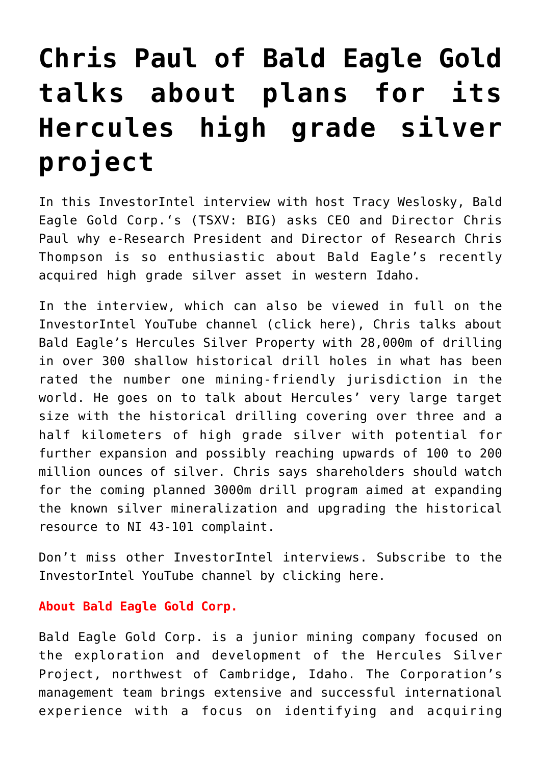## **[Chris Paul of Bald Eagle Gold](https://investorintel.com/investorintel-video/chris-paul-of-bald-eagle-gold-talks-about-plans-for-its-hercules-high-grade-silver-project/) [talks about plans for its](https://investorintel.com/investorintel-video/chris-paul-of-bald-eagle-gold-talks-about-plans-for-its-hercules-high-grade-silver-project/) [Hercules high grade silver](https://investorintel.com/investorintel-video/chris-paul-of-bald-eagle-gold-talks-about-plans-for-its-hercules-high-grade-silver-project/) [project](https://investorintel.com/investorintel-video/chris-paul-of-bald-eagle-gold-talks-about-plans-for-its-hercules-high-grade-silver-project/)**

In this InvestorIntel interview with host Tracy Weslosky, [Bald](https://baldeaglegold.com/) [Eagle Gold Corp.'](https://baldeaglegold.com/)s (TSXV: BIG) asks CEO and Director Chris Paul why e-Research President and Director of Research Chris Thompson is so enthusiastic about Bald Eagle's recently acquired high grade silver asset in western Idaho.

In the interview, which can also be viewed in full on the InvestorIntel YouTube channel ([click here](https://youtu.be/umob5KYJUgI)), Chris talks about Bald Eagle's Hercules Silver Property with 28,000m of drilling in over 300 shallow historical drill holes in what has been rated the number one mining-friendly jurisdiction in the world. He goes on to talk about Hercules' very large target size with the historical drilling covering over three and a half kilometers of high grade silver with potential for further expansion and possibly reaching upwards of 100 to 200 million ounces of silver. Chris says shareholders should watch for the coming planned 3000m drill program aimed at expanding the known silver mineralization and upgrading the historical resource to NI 43-101 complaint.

Don't miss other InvestorIntel interviews. Subscribe to the InvestorIntel YouTube channel by [clicking here](https://www.youtube.com/watch?v=pvIGDUjhFSg).

## **About Bald Eagle Gold Corp.**

Bald Eagle Gold Corp. is a junior mining company focused on the exploration and development of the Hercules Silver Project, northwest of Cambridge, Idaho. The Corporation's management team brings extensive and successful international experience with a focus on identifying and acquiring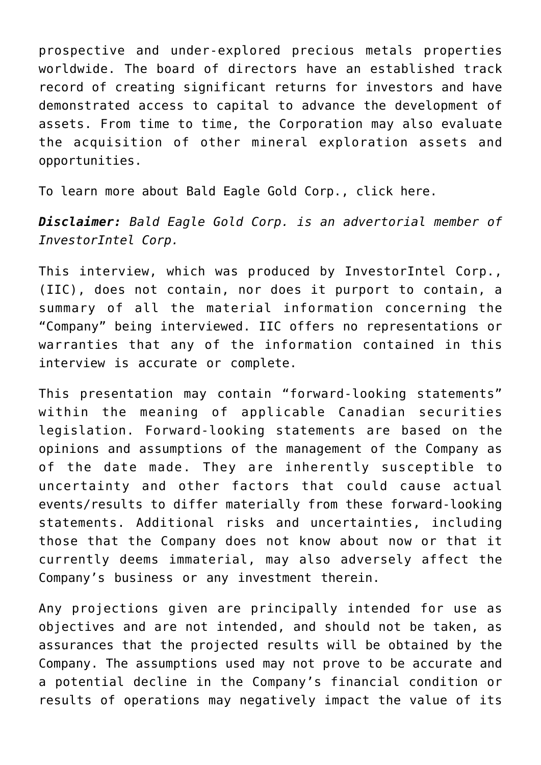prospective and under-explored precious metals properties worldwide. The board of directors have an established track record of creating significant returns for investors and have demonstrated access to capital to advance the development of assets. From time to time, the Corporation may also evaluate the acquisition of other mineral exploration assets and opportunities.

To learn more about Bald Eagle Gold Corp., [click here](https://www.baldeaglegold.com/).

*Disclaimer: Bald Eagle Gold Corp. is an advertorial member of InvestorIntel Corp.*

This interview, which was produced by InvestorIntel Corp., (IIC), does not contain, nor does it purport to contain, a summary of all the material information concerning the "Company" being interviewed. IIC offers no representations or warranties that any of the information contained in this interview is accurate or complete.

This presentation may contain "forward-looking statements" within the meaning of applicable Canadian securities legislation. Forward-looking statements are based on the opinions and assumptions of the management of the Company as of the date made. They are inherently susceptible to uncertainty and other factors that could cause actual events/results to differ materially from these forward-looking statements. Additional risks and uncertainties, including those that the Company does not know about now or that it currently deems immaterial, may also adversely affect the Company's business or any investment therein.

Any projections given are principally intended for use as objectives and are not intended, and should not be taken, as assurances that the projected results will be obtained by the Company. The assumptions used may not prove to be accurate and a potential decline in the Company's financial condition or results of operations may negatively impact the value of its